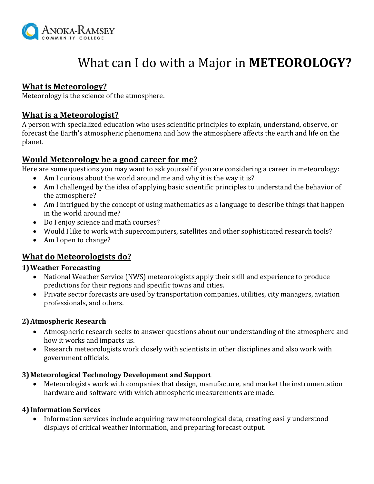

# What can I do with a Major in **METEOROLOGY?**

# **What is Meteorology?**

Meteorology is the science of the atmosphere.

# **What is a Meteorologist?**

A person with specialized education who uses scientific principles to explain, understand, observe, or forecast the Earth's atmospheric phenomena and how the atmosphere affects the earth and life on the planet.

## **Would Meteorology be a good career for me?**

Here are some questions you may want to ask yourself if you are considering a career in meteorology:

- Am I curious about the world around me and why it is the way it is?
- Am I challenged by the idea of applying basic scientific principles to understand the behavior of the atmosphere?
- Am I intrigued by the concept of using mathematics as a language to describe things that happen in the world around me?
- Do I enjoy science and math courses?
- Would I like to work with supercomputers, satellites and other sophisticated research tools?
- Am I open to change?

## **What do Meteorologists do?**

## **1)Weather Forecasting**

- National Weather Service (NWS) meteorologists apply their skill and experience to produce predictions for their regions and specific towns and cities.
- Private sector forecasts are used by transportation companies, utilities, city managers, aviation professionals, and others.

## **2)Atmospheric Research**

- Atmospheric research seeks to answer questions about our understanding of the atmosphere and how it works and impacts us.
- Research meteorologists work closely with scientists in other disciplines and also work with government officials.

## **3)Meteorological Technology Development and Support**

 Meteorologists work with companies that design, manufacture, and market the instrumentation hardware and software with which atmospheric measurements are made.

#### **4) Information Services**

 Information services include acquiring raw meteorological data, creating easily understood displays of critical weather information, and preparing forecast output.